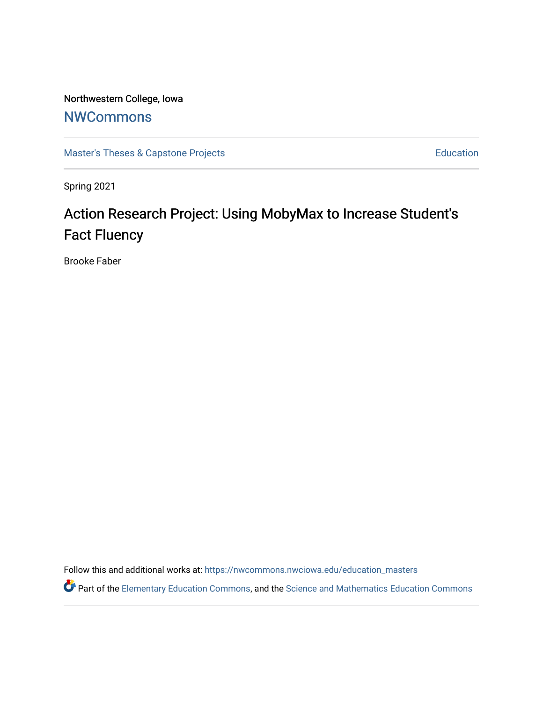# Northwestern College, Iowa

# **[NWCommons](https://nwcommons.nwciowa.edu/)**

[Master's Theses & Capstone Projects](https://nwcommons.nwciowa.edu/education_masters) **Education** Education

Spring 2021

# Action Research Project: Using MobyMax to Increase Student's Fact Fluency

Brooke Faber

Follow this and additional works at: [https://nwcommons.nwciowa.edu/education\\_masters](https://nwcommons.nwciowa.edu/education_masters?utm_source=nwcommons.nwciowa.edu%2Feducation_masters%2F281&utm_medium=PDF&utm_campaign=PDFCoverPages)

Part of the [Elementary Education Commons,](http://network.bepress.com/hgg/discipline/1378?utm_source=nwcommons.nwciowa.edu%2Feducation_masters%2F281&utm_medium=PDF&utm_campaign=PDFCoverPages) and the [Science and Mathematics Education Commons](http://network.bepress.com/hgg/discipline/800?utm_source=nwcommons.nwciowa.edu%2Feducation_masters%2F281&utm_medium=PDF&utm_campaign=PDFCoverPages)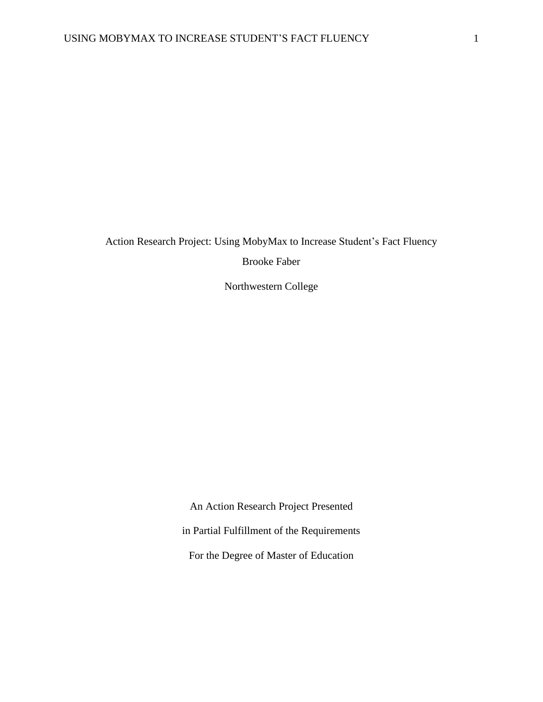Action Research Project: Using MobyMax to Increase Student's Fact Fluency

Brooke Faber

Northwestern College

An Action Research Project Presented in Partial Fulfillment of the Requirements For the Degree of Master of Education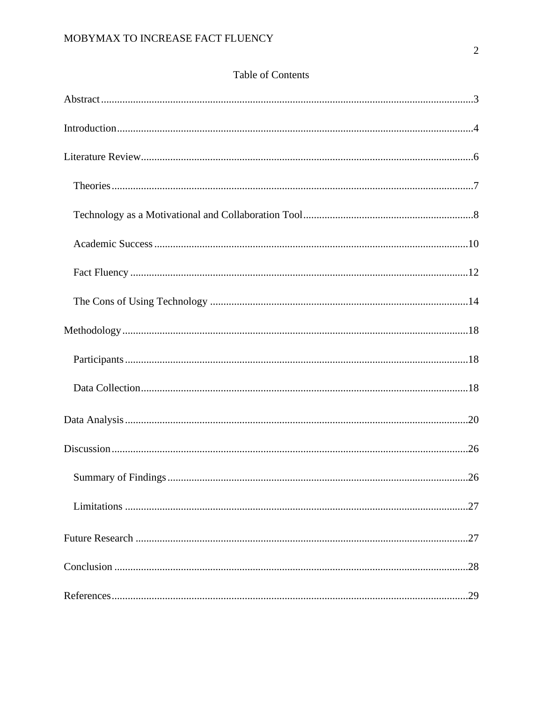| .29 |
|-----|

# Table of Contents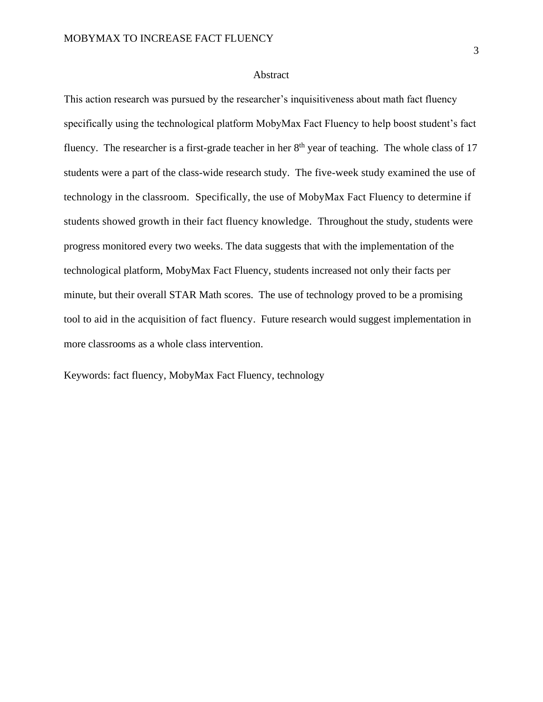#### Abstract

This action research was pursued by the researcher's inquisitiveness about math fact fluency specifically using the technological platform MobyMax Fact Fluency to help boost student's fact fluency. The researcher is a first-grade teacher in her  $8<sup>th</sup>$  year of teaching. The whole class of 17 students were a part of the class-wide research study. The five-week study examined the use of technology in the classroom. Specifically, the use of MobyMax Fact Fluency to determine if students showed growth in their fact fluency knowledge. Throughout the study, students were progress monitored every two weeks. The data suggests that with the implementation of the technological platform, MobyMax Fact Fluency, students increased not only their facts per minute, but their overall STAR Math scores. The use of technology proved to be a promising tool to aid in the acquisition of fact fluency. Future research would suggest implementation in more classrooms as a whole class intervention.

Keywords: fact fluency, MobyMax Fact Fluency, technology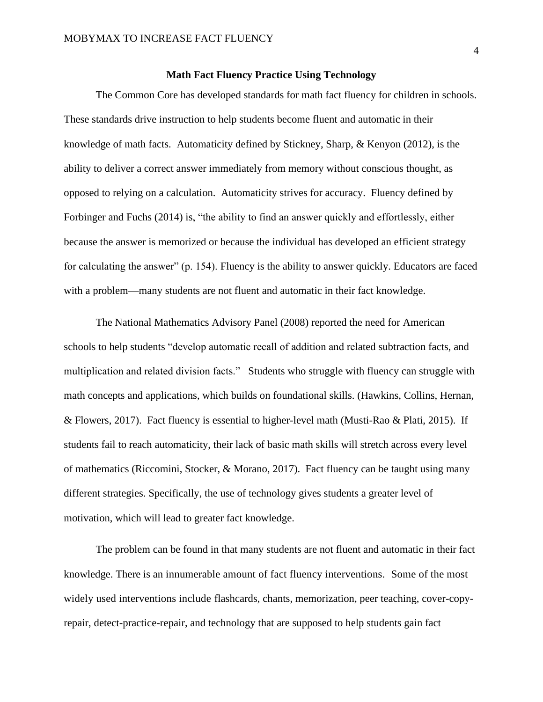# **Math Fact Fluency Practice Using Technology**

The Common Core has developed standards for math fact fluency for children in schools. These standards drive instruction to help students become fluent and automatic in their knowledge of math facts. Automaticity defined by Stickney, Sharp, & Kenyon (2012), is the ability to deliver a correct answer immediately from memory without conscious thought, as opposed to relying on a calculation. Automaticity strives for accuracy. Fluency defined by Forbinger and Fuchs (2014) is, "the ability to find an answer quickly and effortlessly, either because the answer is memorized or because the individual has developed an efficient strategy for calculating the answer" (p. 154). Fluency is the ability to answer quickly. Educators are faced with a problem—many students are not fluent and automatic in their fact knowledge.

The National Mathematics Advisory Panel (2008) reported the need for American schools to help students "develop automatic recall of addition and related subtraction facts, and multiplication and related division facts." Students who struggle with fluency can struggle with math concepts and applications, which builds on foundational skills. (Hawkins, Collins, Hernan, & Flowers, 2017). Fact fluency is essential to higher-level math (Musti-Rao & Plati, 2015). If students fail to reach automaticity, their lack of basic math skills will stretch across every level of mathematics (Riccomini, Stocker, & Morano, 2017). Fact fluency can be taught using many different strategies. Specifically, the use of technology gives students a greater level of motivation, which will lead to greater fact knowledge.

The problem can be found in that many students are not fluent and automatic in their fact knowledge. There is an innumerable amount of fact fluency interventions. Some of the most widely used interventions include flashcards, chants, memorization, peer teaching, cover-copyrepair, detect-practice-repair, and technology that are supposed to help students gain fact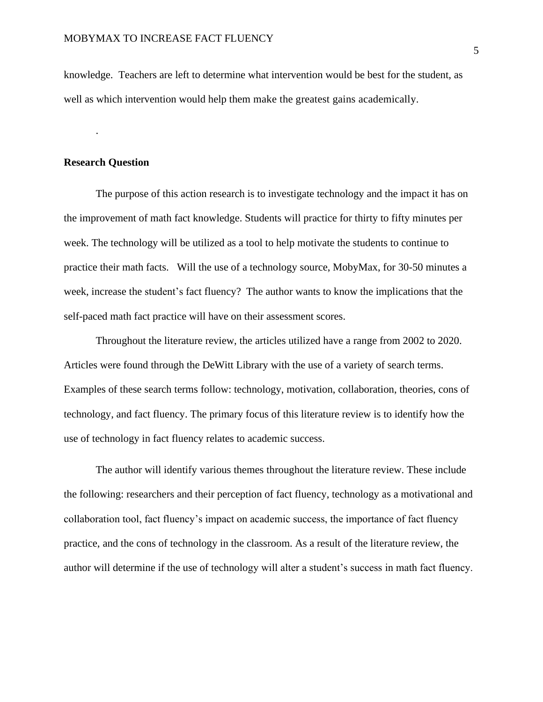knowledge. Teachers are left to determine what intervention would be best for the student, as well as which intervention would help them make the greatest gains academically.

### **Research Question**

.

The purpose of this action research is to investigate technology and the impact it has on the improvement of math fact knowledge. Students will practice for thirty to fifty minutes per week. The technology will be utilized as a tool to help motivate the students to continue to practice their math facts. Will the use of a technology source, MobyMax, for 30-50 minutes a week, increase the student's fact fluency? The author wants to know the implications that the self-paced math fact practice will have on their assessment scores.

Throughout the literature review, the articles utilized have a range from 2002 to 2020. Articles were found through the DeWitt Library with the use of a variety of search terms. Examples of these search terms follow: technology, motivation, collaboration, theories, cons of technology, and fact fluency. The primary focus of this literature review is to identify how the use of technology in fact fluency relates to academic success.

The author will identify various themes throughout the literature review. These include the following: researchers and their perception of fact fluency, technology as a motivational and collaboration tool, fact fluency's impact on academic success, the importance of fact fluency practice, and the cons of technology in the classroom. As a result of the literature review, the author will determine if the use of technology will alter a student's success in math fact fluency.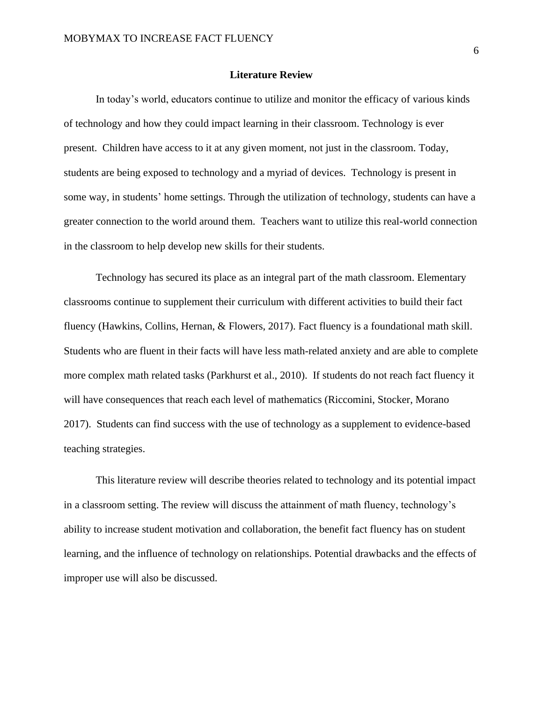#### **Literature Review**

In today's world, educators continue to utilize and monitor the efficacy of various kinds of technology and how they could impact learning in their classroom. Technology is ever present. Children have access to it at any given moment, not just in the classroom. Today, students are being exposed to technology and a myriad of devices. Technology is present in some way, in students' home settings. Through the utilization of technology, students can have a greater connection to the world around them. Teachers want to utilize this real-world connection in the classroom to help develop new skills for their students.

Technology has secured its place as an integral part of the math classroom. Elementary classrooms continue to supplement their curriculum with different activities to build their fact fluency (Hawkins, Collins, Hernan, & Flowers, 2017). Fact fluency is a foundational math skill. Students who are fluent in their facts will have less math-related anxiety and are able to complete more complex math related tasks (Parkhurst et al., 2010). If students do not reach fact fluency it will have consequences that reach each level of mathematics (Riccomini, Stocker, Morano 2017). Students can find success with the use of technology as a supplement to evidence-based teaching strategies.

This literature review will describe theories related to technology and its potential impact in a classroom setting. The review will discuss the attainment of math fluency, technology's ability to increase student motivation and collaboration, the benefit fact fluency has on student learning, and the influence of technology on relationships. Potential drawbacks and the effects of improper use will also be discussed.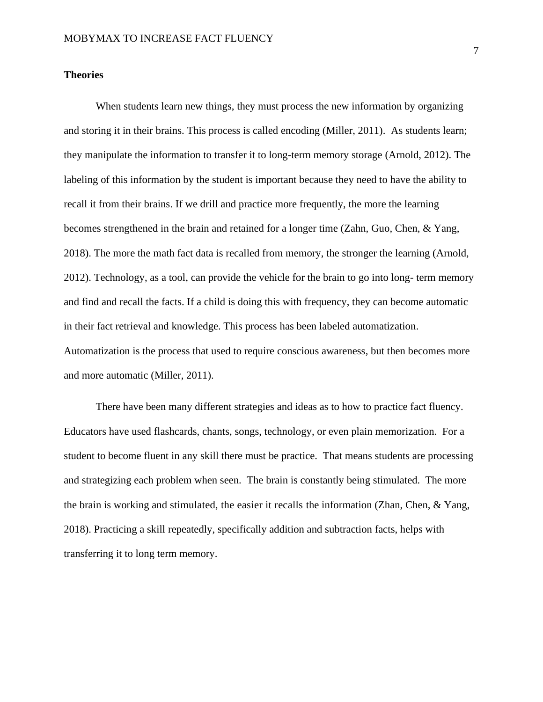### **Theories**

When students learn new things, they must process the new information by organizing and storing it in their brains. This process is called encoding (Miller, 2011). As students learn; they manipulate the information to transfer it to long-term memory storage (Arnold, 2012). The labeling of this information by the student is important because they need to have the ability to recall it from their brains. If we drill and practice more frequently, the more the learning becomes strengthened in the brain and retained for a longer time (Zahn, Guo, Chen, & Yang, 2018). The more the math fact data is recalled from memory, the stronger the learning (Arnold, 2012). Technology, as a tool, can provide the vehicle for the brain to go into long- term memory and find and recall the facts. If a child is doing this with frequency, they can become automatic in their fact retrieval and knowledge. This process has been labeled automatization. Automatization is the process that used to require conscious awareness, but then becomes more and more automatic (Miller, 2011).

There have been many different strategies and ideas as to how to practice fact fluency. Educators have used flashcards, chants, songs, technology, or even plain memorization. For a student to become fluent in any skill there must be practice. That means students are processing and strategizing each problem when seen. The brain is constantly being stimulated. The more the brain is working and stimulated, the easier it recalls the information (Zhan, Chen, & Yang, 2018). Practicing a skill repeatedly, specifically addition and subtraction facts, helps with transferring it to long term memory.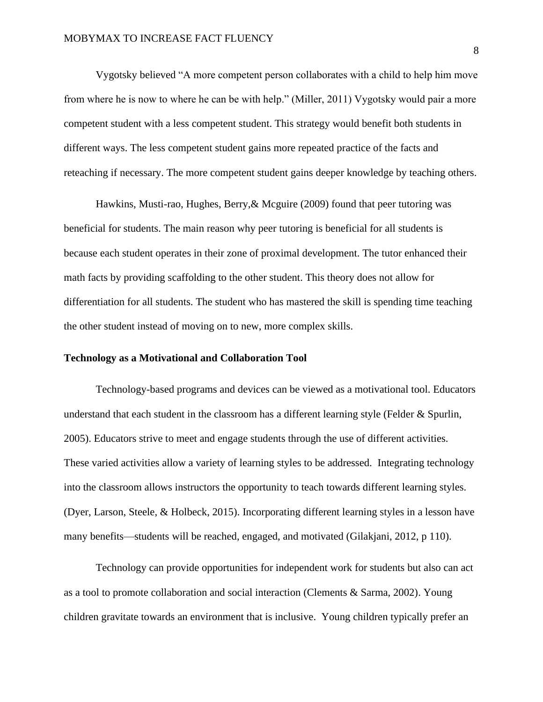Vygotsky believed "A more competent person collaborates with a child to help him move from where he is now to where he can be with help." (Miller, 2011) Vygotsky would pair a more competent student with a less competent student. This strategy would benefit both students in different ways. The less competent student gains more repeated practice of the facts and reteaching if necessary. The more competent student gains deeper knowledge by teaching others.

Hawkins, Musti-rao, Hughes, Berry,& Mcguire (2009) found that peer tutoring was beneficial for students. The main reason why peer tutoring is beneficial for all students is because each student operates in their zone of proximal development. The tutor enhanced their math facts by providing scaffolding to the other student. This theory does not allow for differentiation for all students. The student who has mastered the skill is spending time teaching the other student instead of moving on to new, more complex skills.

#### **Technology as a Motivational and Collaboration Tool**

Technology-based programs and devices can be viewed as a motivational tool. Educators understand that each student in the classroom has a different learning style (Felder  $&$  Spurlin, 2005). Educators strive to meet and engage students through the use of different activities. These varied activities allow a variety of learning styles to be addressed. Integrating technology into the classroom allows instructors the opportunity to teach towards different learning styles. (Dyer, Larson, Steele, & Holbeck, 2015). Incorporating different learning styles in a lesson have many benefits—students will be reached, engaged, and motivated (Gilakjani, 2012, p 110).

Technology can provide opportunities for independent work for students but also can act as a tool to promote collaboration and social interaction (Clements & Sarma, 2002). Young children gravitate towards an environment that is inclusive. Young children typically prefer an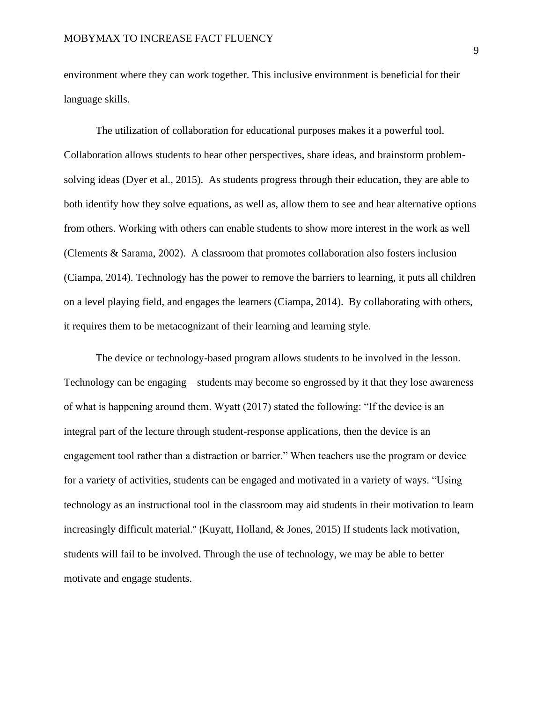environment where they can work together. This inclusive environment is beneficial for their language skills.

The utilization of collaboration for educational purposes makes it a powerful tool. Collaboration allows students to hear other perspectives, share ideas, and brainstorm problemsolving ideas (Dyer et al., 2015). As students progress through their education, they are able to both identify how they solve equations, as well as, allow them to see and hear alternative options from others. Working with others can enable students to show more interest in the work as well (Clements & Sarama, 2002). A classroom that promotes collaboration also fosters inclusion (Ciampa, 2014). Technology has the power to remove the barriers to learning, it puts all children on a level playing field, and engages the learners (Ciampa, 2014). By collaborating with others, it requires them to be metacognizant of their learning and learning style.

The device or technology-based program allows students to be involved in the lesson. Technology can be engaging—students may become so engrossed by it that they lose awareness of what is happening around them. Wyatt (2017) stated the following: "If the device is an integral part of the lecture through student-response applications, then the device is an engagement tool rather than a distraction or barrier." When teachers use the program or device for a variety of activities, students can be engaged and motivated in a variety of ways. "Using technology as an instructional tool in the classroom may aid students in their motivation to learn increasingly difficult material." (Kuyatt, Holland, & Jones, 2015) If students lack motivation, students will fail to be involved. Through the use of technology, we may be able to better motivate and engage students.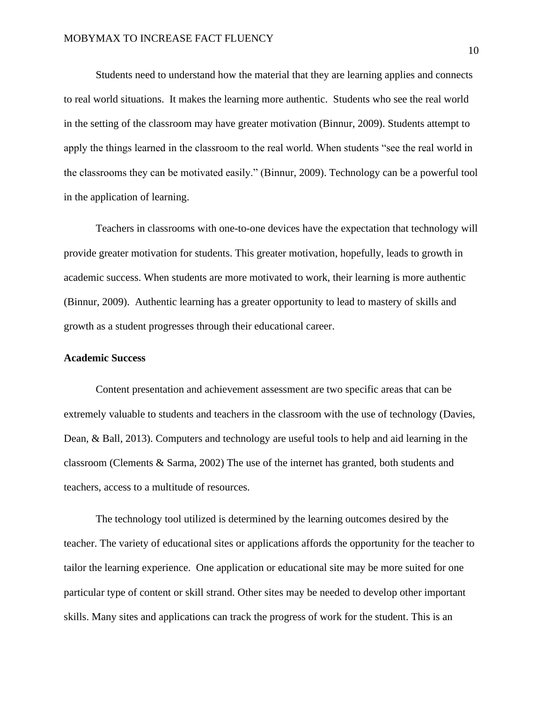Students need to understand how the material that they are learning applies and connects to real world situations. It makes the learning more authentic. Students who see the real world in the setting of the classroom may have greater motivation (Binnur, 2009). Students attempt to apply the things learned in the classroom to the real world. When students "see the real world in the classrooms they can be motivated easily." (Binnur, 2009). Technology can be a powerful tool in the application of learning.

Teachers in classrooms with one-to-one devices have the expectation that technology will provide greater motivation for students. This greater motivation, hopefully, leads to growth in academic success. When students are more motivated to work, their learning is more authentic (Binnur, 2009). Authentic learning has a greater opportunity to lead to mastery of skills and growth as a student progresses through their educational career.

#### **Academic Success**

Content presentation and achievement assessment are two specific areas that can be extremely valuable to students and teachers in the classroom with the use of technology (Davies, Dean, & Ball, 2013). Computers and technology are useful tools to help and aid learning in the classroom (Clements & Sarma, 2002) The use of the internet has granted, both students and teachers, access to a multitude of resources.

The technology tool utilized is determined by the learning outcomes desired by the teacher. The variety of educational sites or applications affords the opportunity for the teacher to tailor the learning experience. One application or educational site may be more suited for one particular type of content or skill strand. Other sites may be needed to develop other important skills. Many sites and applications can track the progress of work for the student. This is an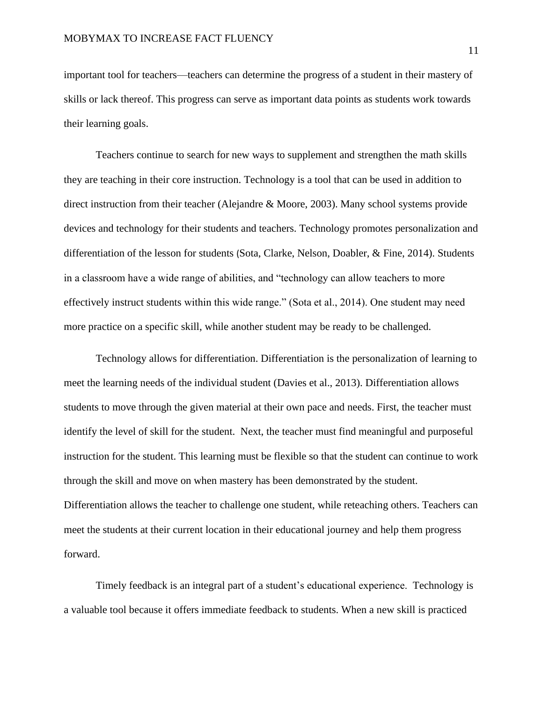important tool for teachers—teachers can determine the progress of a student in their mastery of skills or lack thereof. This progress can serve as important data points as students work towards their learning goals.

Teachers continue to search for new ways to supplement and strengthen the math skills they are teaching in their core instruction. Technology is a tool that can be used in addition to direct instruction from their teacher (Alejandre & Moore, 2003). Many school systems provide devices and technology for their students and teachers. Technology promotes personalization and differentiation of the lesson for students (Sota, Clarke, Nelson, Doabler, & Fine, 2014). Students in a classroom have a wide range of abilities, and "technology can allow teachers to more effectively instruct students within this wide range." (Sota et al., 2014). One student may need more practice on a specific skill, while another student may be ready to be challenged.

Technology allows for differentiation. Differentiation is the personalization of learning to meet the learning needs of the individual student (Davies et al., 2013). Differentiation allows students to move through the given material at their own pace and needs. First, the teacher must identify the level of skill for the student. Next, the teacher must find meaningful and purposeful instruction for the student. This learning must be flexible so that the student can continue to work through the skill and move on when mastery has been demonstrated by the student. Differentiation allows the teacher to challenge one student, while reteaching others. Teachers can meet the students at their current location in their educational journey and help them progress forward.

Timely feedback is an integral part of a student's educational experience. Technology is a valuable tool because it offers immediate feedback to students. When a new skill is practiced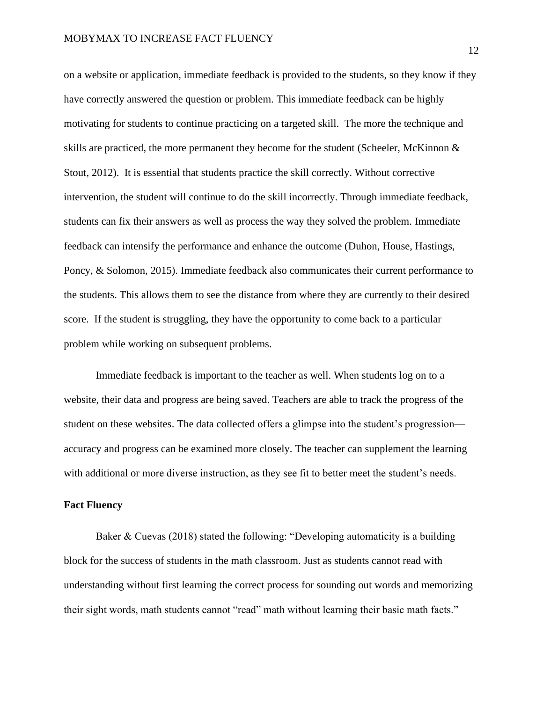on a website or application, immediate feedback is provided to the students, so they know if they have correctly answered the question or problem. This immediate feedback can be highly motivating for students to continue practicing on a targeted skill. The more the technique and skills are practiced, the more permanent they become for the student (Scheeler, McKinnon & Stout, 2012). It is essential that students practice the skill correctly. Without corrective intervention, the student will continue to do the skill incorrectly. Through immediate feedback, students can fix their answers as well as process the way they solved the problem. Immediate feedback can intensify the performance and enhance the outcome (Duhon, House, Hastings, Poncy, & Solomon, 2015). Immediate feedback also communicates their current performance to the students. This allows them to see the distance from where they are currently to their desired score. If the student is struggling, they have the opportunity to come back to a particular problem while working on subsequent problems.

Immediate feedback is important to the teacher as well. When students log on to a website, their data and progress are being saved. Teachers are able to track the progress of the student on these websites. The data collected offers a glimpse into the student's progression accuracy and progress can be examined more closely. The teacher can supplement the learning with additional or more diverse instruction, as they see fit to better meet the student's needs.

#### **Fact Fluency**

Baker & Cuevas (2018) stated the following: "Developing automaticity is a building block for the success of students in the math classroom. Just as students cannot read with understanding without first learning the correct process for sounding out words and memorizing their sight words, math students cannot "read" math without learning their basic math facts."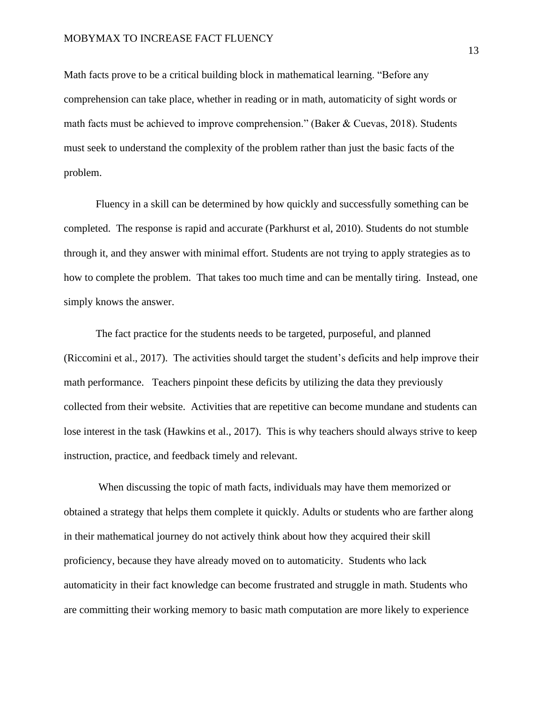Math facts prove to be a critical building block in mathematical learning. "Before any comprehension can take place, whether in reading or in math, automaticity of sight words or math facts must be achieved to improve comprehension." (Baker & Cuevas, 2018). Students must seek to understand the complexity of the problem rather than just the basic facts of the problem.

Fluency in a skill can be determined by how quickly and successfully something can be completed. The response is rapid and accurate (Parkhurst et al, 2010). Students do not stumble through it, and they answer with minimal effort. Students are not trying to apply strategies as to how to complete the problem. That takes too much time and can be mentally tiring. Instead, one simply knows the answer.

The fact practice for the students needs to be targeted, purposeful, and planned (Riccomini et al., 2017). The activities should target the student's deficits and help improve their math performance. Teachers pinpoint these deficits by utilizing the data they previously collected from their website. Activities that are repetitive can become mundane and students can lose interest in the task (Hawkins et al., 2017). This is why teachers should always strive to keep instruction, practice, and feedback timely and relevant.

When discussing the topic of math facts, individuals may have them memorized or obtained a strategy that helps them complete it quickly. Adults or students who are farther along in their mathematical journey do not actively think about how they acquired their skill proficiency, because they have already moved on to automaticity. Students who lack automaticity in their fact knowledge can become frustrated and struggle in math. Students who are committing their working memory to basic math computation are more likely to experience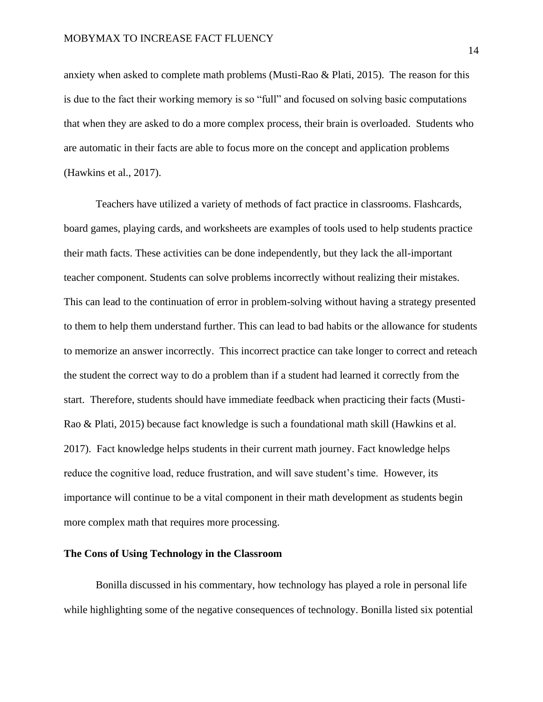anxiety when asked to complete math problems (Musti-Rao & Plati, 2015). The reason for this is due to the fact their working memory is so "full" and focused on solving basic computations that when they are asked to do a more complex process, their brain is overloaded. Students who are automatic in their facts are able to focus more on the concept and application problems (Hawkins et al., 2017).

Teachers have utilized a variety of methods of fact practice in classrooms. Flashcards, board games, playing cards, and worksheets are examples of tools used to help students practice their math facts. These activities can be done independently, but they lack the all-important teacher component. Students can solve problems incorrectly without realizing their mistakes. This can lead to the continuation of error in problem-solving without having a strategy presented to them to help them understand further. This can lead to bad habits or the allowance for students to memorize an answer incorrectly. This incorrect practice can take longer to correct and reteach the student the correct way to do a problem than if a student had learned it correctly from the start. Therefore, students should have immediate feedback when practicing their facts (Musti-Rao & Plati, 2015) because fact knowledge is such a foundational math skill (Hawkins et al. 2017). Fact knowledge helps students in their current math journey. Fact knowledge helps reduce the cognitive load, reduce frustration, and will save student's time. However, its importance will continue to be a vital component in their math development as students begin more complex math that requires more processing.

# **The Cons of Using Technology in the Classroom**

Bonilla discussed in his commentary, how technology has played a role in personal life while highlighting some of the negative consequences of technology. Bonilla listed six potential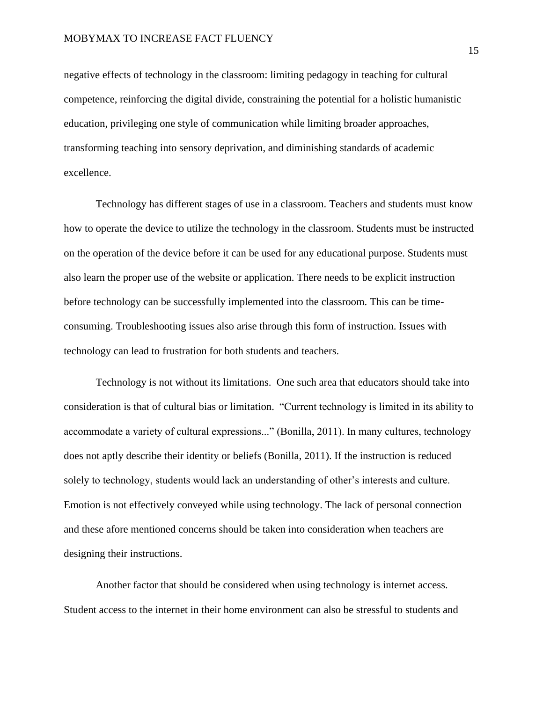negative effects of technology in the classroom: limiting pedagogy in teaching for cultural competence, reinforcing the digital divide, constraining the potential for a holistic humanistic education, privileging one style of communication while limiting broader approaches, transforming teaching into sensory deprivation, and diminishing standards of academic excellence.

Technology has different stages of use in a classroom. Teachers and students must know how to operate the device to utilize the technology in the classroom. Students must be instructed on the operation of the device before it can be used for any educational purpose. Students must also learn the proper use of the website or application. There needs to be explicit instruction before technology can be successfully implemented into the classroom. This can be timeconsuming. Troubleshooting issues also arise through this form of instruction. Issues with technology can lead to frustration for both students and teachers.

Technology is not without its limitations. One such area that educators should take into consideration is that of cultural bias or limitation. "Current technology is limited in its ability to accommodate a variety of cultural expressions..." (Bonilla, 2011). In many cultures, technology does not aptly describe their identity or beliefs (Bonilla, 2011). If the instruction is reduced solely to technology, students would lack an understanding of other's interests and culture. Emotion is not effectively conveyed while using technology. The lack of personal connection and these afore mentioned concerns should be taken into consideration when teachers are designing their instructions.

Another factor that should be considered when using technology is internet access. Student access to the internet in their home environment can also be stressful to students and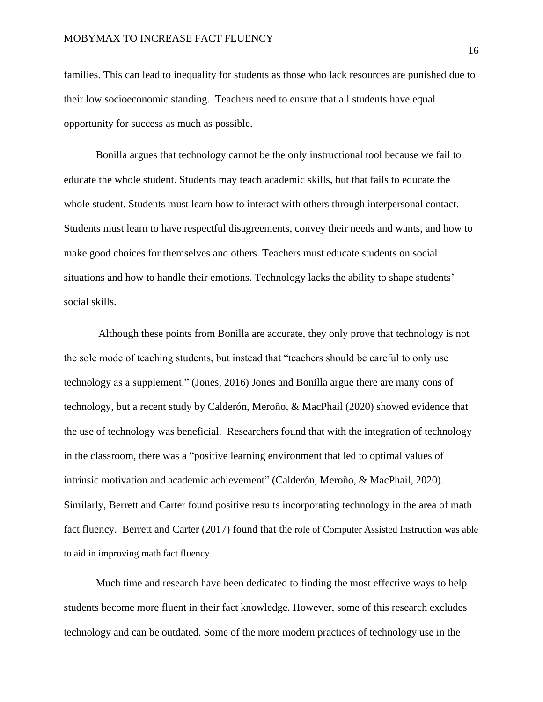families. This can lead to inequality for students as those who lack resources are punished due to their low socioeconomic standing. Teachers need to ensure that all students have equal opportunity for success as much as possible.

Bonilla argues that technology cannot be the only instructional tool because we fail to educate the whole student. Students may teach academic skills, but that fails to educate the whole student. Students must learn how to interact with others through interpersonal contact. Students must learn to have respectful disagreements, convey their needs and wants, and how to make good choices for themselves and others. Teachers must educate students on social situations and how to handle their emotions. Technology lacks the ability to shape students' social skills.

Although these points from Bonilla are accurate, they only prove that technology is not the sole mode of teaching students, but instead that "teachers should be careful to only use technology as a supplement." (Jones, 2016) Jones and Bonilla argue there are many cons of technology, but a recent study by Calderón, Meroño, & MacPhail (2020) showed evidence that the use of technology was beneficial. Researchers found that with the integration of technology in the classroom, there was a "positive learning environment that led to optimal values of intrinsic motivation and academic achievement" (Calderón, Meroño, & MacPhail, 2020). Similarly, Berrett and Carter found positive results incorporating technology in the area of math fact fluency. Berrett and Carter (2017) found that the role of Computer Assisted Instruction was able to aid in improving math fact fluency.

Much time and research have been dedicated to finding the most effective ways to help students become more fluent in their fact knowledge. However, some of this research excludes technology and can be outdated. Some of the more modern practices of technology use in the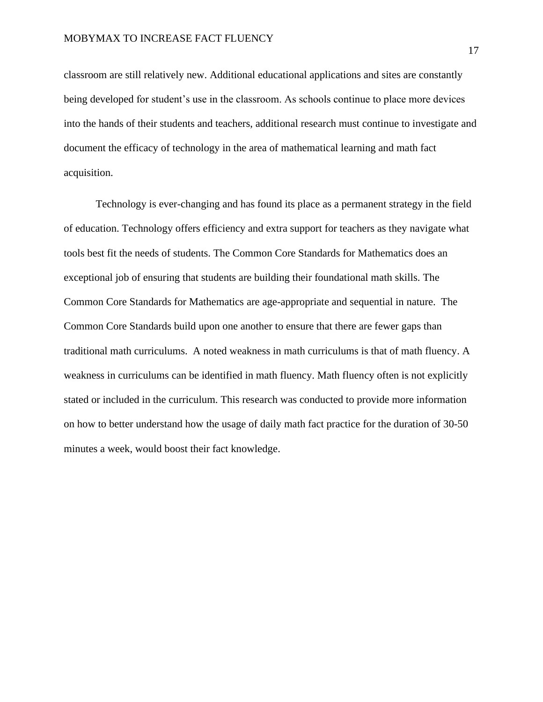classroom are still relatively new. Additional educational applications and sites are constantly being developed for student's use in the classroom. As schools continue to place more devices into the hands of their students and teachers, additional research must continue to investigate and document the efficacy of technology in the area of mathematical learning and math fact acquisition.

Technology is ever-changing and has found its place as a permanent strategy in the field of education. Technology offers efficiency and extra support for teachers as they navigate what tools best fit the needs of students. The Common Core Standards for Mathematics does an exceptional job of ensuring that students are building their foundational math skills. The Common Core Standards for Mathematics are age-appropriate and sequential in nature. The Common Core Standards build upon one another to ensure that there are fewer gaps than traditional math curriculums. A noted weakness in math curriculums is that of math fluency. A weakness in curriculums can be identified in math fluency. Math fluency often is not explicitly stated or included in the curriculum. This research was conducted to provide more information on how to better understand how the usage of daily math fact practice for the duration of 30-50 minutes a week, would boost their fact knowledge.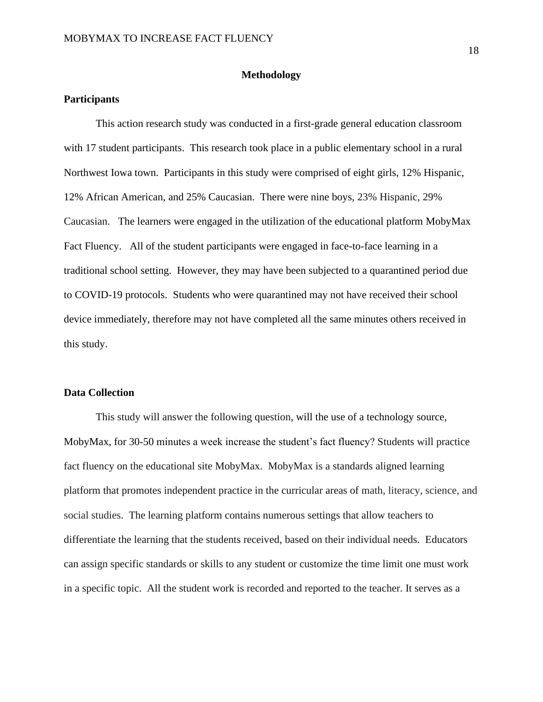#### **Methodology**

# **Participants**

This action research study was conducted in a first-grade general education classroom with 17 student participants. This research took place in a public elementary school in a rural Northwest Iowa town. Participants in this study were comprised of eight girls, 12% Hispanic, 12% African American, and 25% Caucasian. There were nine boys, 23% Hispanic, 29% Caucasian. The learners were engaged in the utilization of the educational platform MobyMax Fact Fluency. All of the student participants were engaged in face-to-face learning in a traditional school setting. However, they may have been subjected to a quarantined period due to COVID-19 protocols. Students who were quarantined may not have received their school device immediately, therefore may not have completed all the same minutes others received in this study.

# **Data Collection**

This study will answer the following question, will the use of a technology source, MobyMax, for 30-50 minutes a week increase the student's fact fluency? Students will practice fact fluency on the educational site MobyMax. MobyMax is a standards aligned learning platform that promotes independent practice in the curricular areas of math, literacy, science, and social studies. The learning platform contains numerous settings that allow teachers to differentiate the learning that the students received, based on their individual needs. Educators can assign specific standards or skills to any student or customize the time limit one must work in a specific topic. All the student work is recorded and reported to the teacher. It serves as a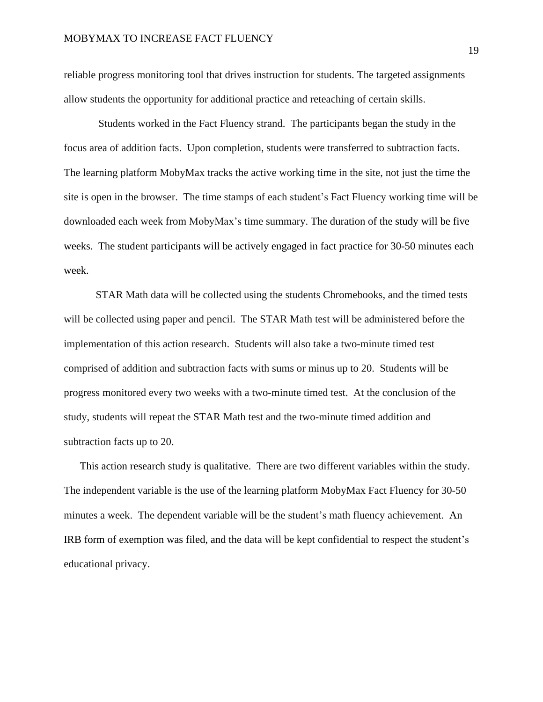reliable progress monitoring tool that drives instruction for students. The targeted assignments allow students the opportunity for additional practice and reteaching of certain skills.

Students worked in the Fact Fluency strand. The participants began the study in the focus area of addition facts. Upon completion, students were transferred to subtraction facts. The learning platform MobyMax tracks the active working time in the site, not just the time the site is open in the browser. The time stamps of each student's Fact Fluency working time will be downloaded each week from MobyMax's time summary. The duration of the study will be five weeks. The student participants will be actively engaged in fact practice for 30-50 minutes each week.

STAR Math data will be collected using the students Chromebooks, and the timed tests will be collected using paper and pencil. The STAR Math test will be administered before the implementation of this action research. Students will also take a two-minute timed test comprised of addition and subtraction facts with sums or minus up to 20. Students will be progress monitored every two weeks with a two-minute timed test. At the conclusion of the study, students will repeat the STAR Math test and the two-minute timed addition and subtraction facts up to 20.

This action research study is qualitative. There are two different variables within the study. The independent variable is the use of the learning platform MobyMax Fact Fluency for 30-50 minutes a week. The dependent variable will be the student's math fluency achievement. An IRB form of exemption was filed, and the data will be kept confidential to respect the student's educational privacy.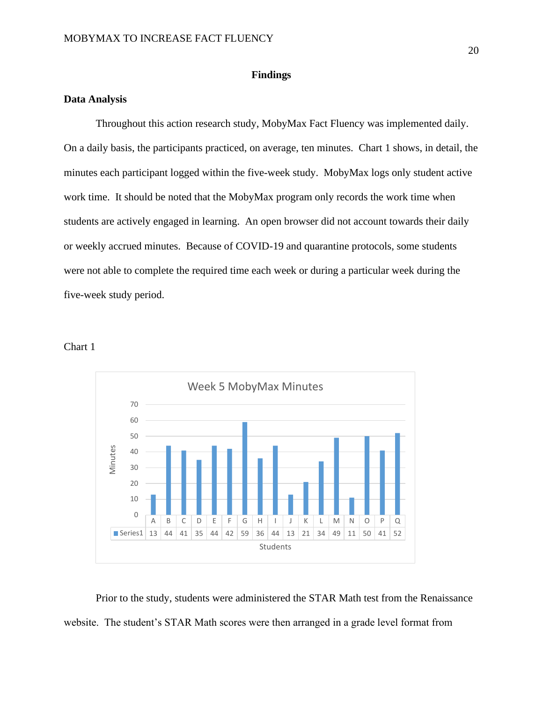#### **Findings**

### **Data Analysis**

Throughout this action research study, MobyMax Fact Fluency was implemented daily. On a daily basis, the participants practiced, on average, ten minutes. Chart 1 shows, in detail, the minutes each participant logged within the five-week study. MobyMax logs only student active work time. It should be noted that the MobyMax program only records the work time when students are actively engaged in learning. An open browser did not account towards their daily or weekly accrued minutes. Because of COVID-19 and quarantine protocols, some students were not able to complete the required time each week or during a particular week during the five-week study period.





Prior to the study, students were administered the STAR Math test from the Renaissance website. The student's STAR Math scores were then arranged in a grade level format from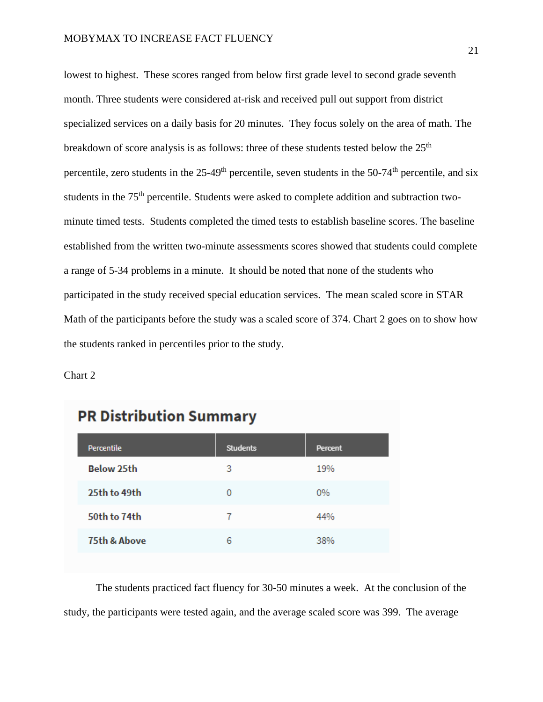lowest to highest. These scores ranged from below first grade level to second grade seventh month. Three students were considered at-risk and received pull out support from district specialized services on a daily basis for 20 minutes. They focus solely on the area of math. The breakdown of score analysis is as follows: three of these students tested below the  $25<sup>th</sup>$ percentile, zero students in the  $25-49<sup>th</sup>$  percentile, seven students in the 50-74<sup>th</sup> percentile, and six students in the 75<sup>th</sup> percentile. Students were asked to complete addition and subtraction twominute timed tests. Students completed the timed tests to establish baseline scores. The baseline established from the written two-minute assessments scores showed that students could complete a range of 5-34 problems in a minute. It should be noted that none of the students who participated in the study received special education services. The mean scaled score in STAR Math of the participants before the study was a scaled score of 374. Chart 2 goes on to show how the students ranked in percentiles prior to the study.

Chart 2

| Percentile              | <b>Students</b> | Percent |
|-------------------------|-----------------|---------|
| <b>Below 25th</b>       | 3               | 19%     |
| 25th to 49th            | 0               | $0\%$   |
| 50th to 74th            | 7               | 44%     |
| <b>75th &amp; Above</b> | 6               | 38%     |

# **PR Distribution Summary**

The students practiced fact fluency for 30-50 minutes a week. At the conclusion of the study, the participants were tested again, and the average scaled score was 399. The average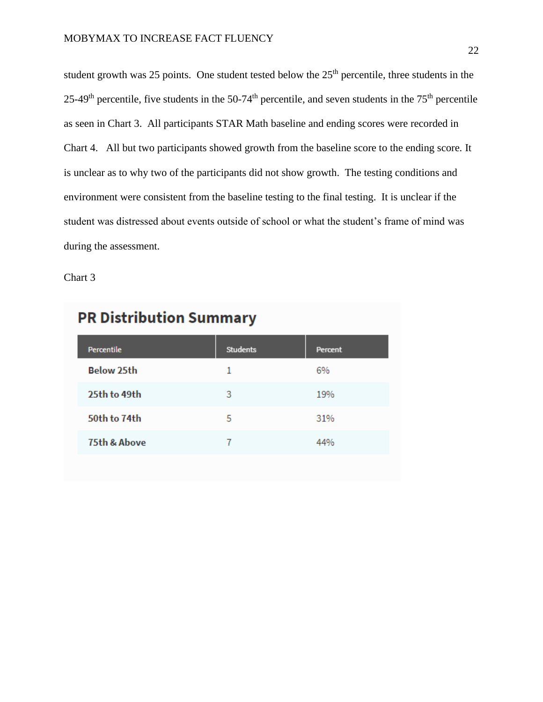student growth was 25 points. One student tested below the 25<sup>th</sup> percentile, three students in the 25-49<sup>th</sup> percentile, five students in the 50-74<sup>th</sup> percentile, and seven students in the 75<sup>th</sup> percentile as seen in Chart 3. All participants STAR Math baseline and ending scores were recorded in Chart 4. All but two participants showed growth from the baseline score to the ending score. It is unclear as to why two of the participants did not show growth. The testing conditions and environment were consistent from the baseline testing to the final testing. It is unclear if the student was distressed about events outside of school or what the student's frame of mind was during the assessment.

Chart 3

| Percentile        | <b>Students</b> | Percent |
|-------------------|-----------------|---------|
| <b>Below 25th</b> | 1               | 6%      |
| 25th to 49th      | 3               | 19%     |
| 50th to 74th      | 5               | 31%     |
| 75th & Above      |                 | 44%     |
|                   |                 |         |

# **PR Distribution Summary**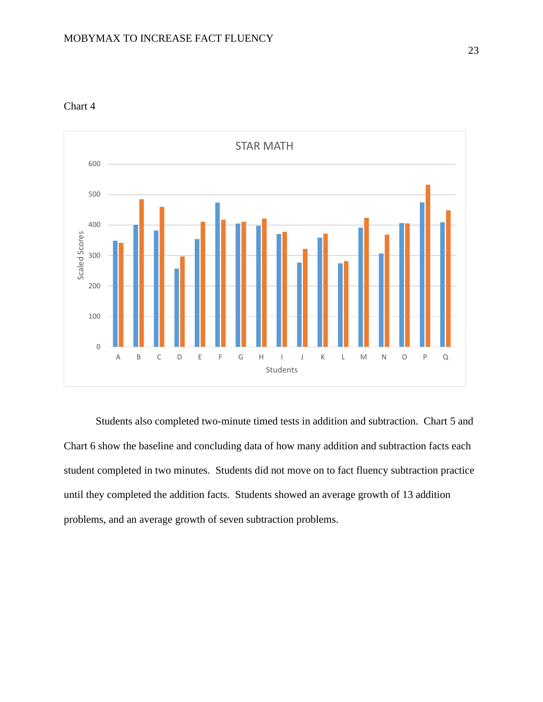

Chart 4

Students also completed two-minute timed tests in addition and subtraction. Chart 5 and Chart 6 show the baseline and concluding data of how many addition and subtraction facts each student completed in two minutes. Students did not move on to fact fluency subtraction practice until they completed the addition facts. Students showed an average growth of 13 addition problems, and an average growth of seven subtraction problems.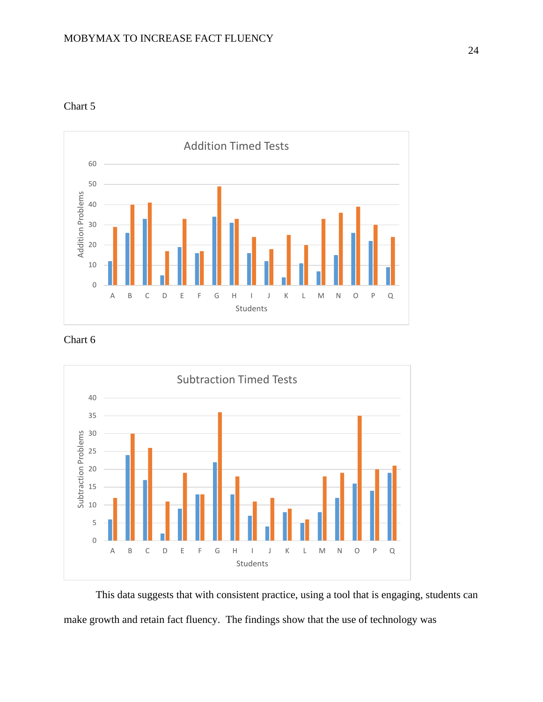

Chart 5

### Chart 6



This data suggests that with consistent practice, using a tool that is engaging, students can make growth and retain fact fluency. The findings show that the use of technology was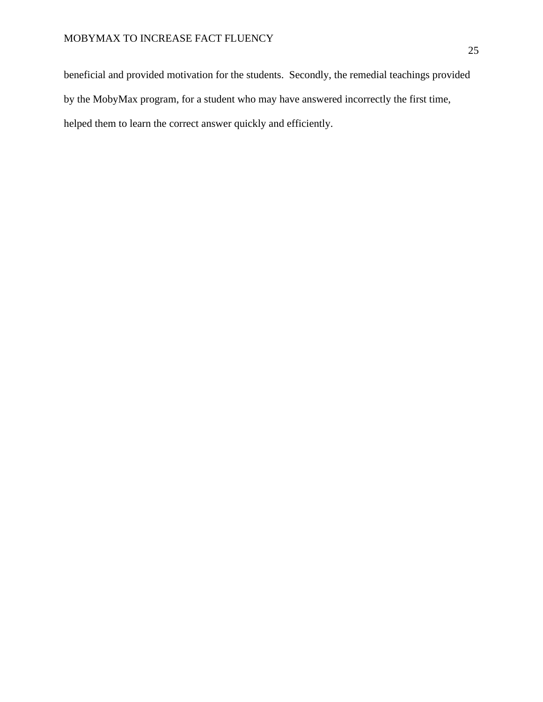beneficial and provided motivation for the students. Secondly, the remedial teachings provided by the MobyMax program, for a student who may have answered incorrectly the first time, helped them to learn the correct answer quickly and efficiently.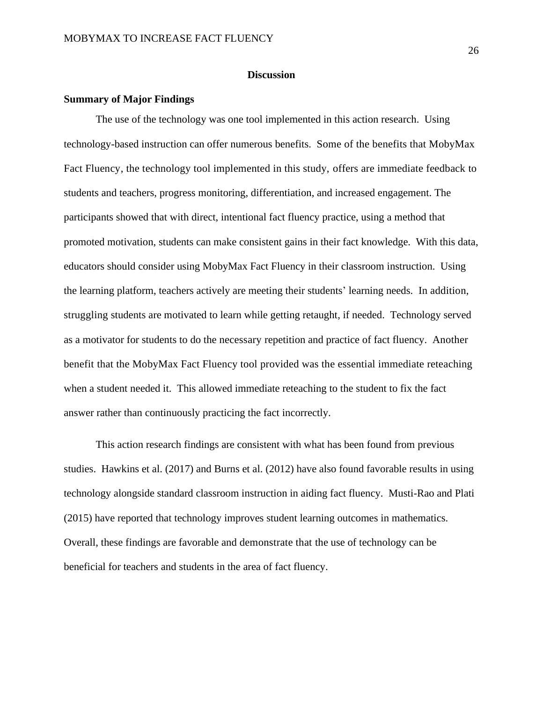### **Discussion**

# **Summary of Major Findings**

The use of the technology was one tool implemented in this action research. Using technology-based instruction can offer numerous benefits. Some of the benefits that MobyMax Fact Fluency, the technology tool implemented in this study, offers are immediate feedback to students and teachers, progress monitoring, differentiation, and increased engagement. The participants showed that with direct, intentional fact fluency practice, using a method that promoted motivation, students can make consistent gains in their fact knowledge. With this data, educators should consider using MobyMax Fact Fluency in their classroom instruction. Using the learning platform, teachers actively are meeting their students' learning needs. In addition, struggling students are motivated to learn while getting retaught, if needed. Technology served as a motivator for students to do the necessary repetition and practice of fact fluency. Another benefit that the MobyMax Fact Fluency tool provided was the essential immediate reteaching when a student needed it. This allowed immediate reteaching to the student to fix the fact answer rather than continuously practicing the fact incorrectly.

This action research findings are consistent with what has been found from previous studies. Hawkins et al. (2017) and Burns et al. (2012) have also found favorable results in using technology alongside standard classroom instruction in aiding fact fluency. Musti-Rao and Plati (2015) have reported that technology improves student learning outcomes in mathematics. Overall, these findings are favorable and demonstrate that the use of technology can be beneficial for teachers and students in the area of fact fluency.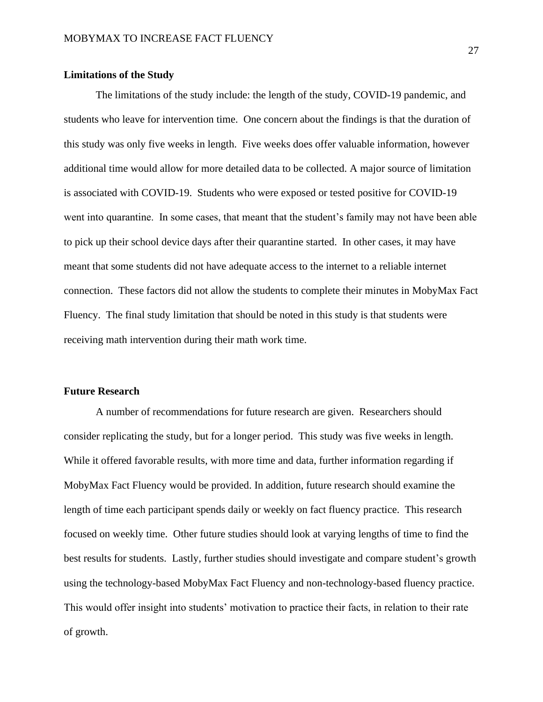#### **Limitations of the Study**

The limitations of the study include: the length of the study, COVID-19 pandemic, and students who leave for intervention time. One concern about the findings is that the duration of this study was only five weeks in length. Five weeks does offer valuable information, however additional time would allow for more detailed data to be collected. A major source of limitation is associated with COVID-19. Students who were exposed or tested positive for COVID-19 went into quarantine. In some cases, that meant that the student's family may not have been able to pick up their school device days after their quarantine started. In other cases, it may have meant that some students did not have adequate access to the internet to a reliable internet connection. These factors did not allow the students to complete their minutes in MobyMax Fact Fluency. The final study limitation that should be noted in this study is that students were receiving math intervention during their math work time.

# **Future Research**

A number of recommendations for future research are given. Researchers should consider replicating the study, but for a longer period. This study was five weeks in length. While it offered favorable results, with more time and data, further information regarding if MobyMax Fact Fluency would be provided. In addition, future research should examine the length of time each participant spends daily or weekly on fact fluency practice. This research focused on weekly time. Other future studies should look at varying lengths of time to find the best results for students. Lastly, further studies should investigate and compare student's growth using the technology-based MobyMax Fact Fluency and non-technology-based fluency practice. This would offer insight into students' motivation to practice their facts, in relation to their rate of growth.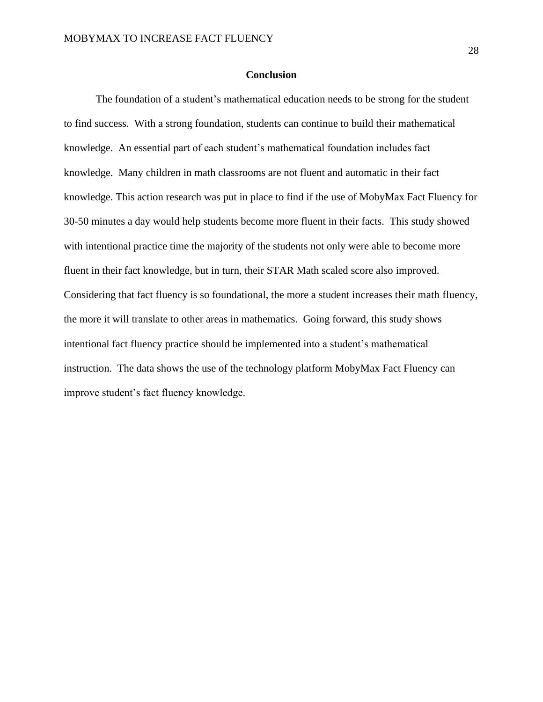### **Conclusion**

The foundation of a student's mathematical education needs to be strong for the student to find success. With a strong foundation, students can continue to build their mathematical knowledge. An essential part of each student's mathematical foundation includes fact knowledge. Many children in math classrooms are not fluent and automatic in their fact knowledge. This action research was put in place to find if the use of MobyMax Fact Fluency for 30-50 minutes a day would help students become more fluent in their facts. This study showed with intentional practice time the majority of the students not only were able to become more fluent in their fact knowledge, but in turn, their STAR Math scaled score also improved. Considering that fact fluency is so foundational, the more a student increases their math fluency, the more it will translate to other areas in mathematics. Going forward, this study shows intentional fact fluency practice should be implemented into a student's mathematical instruction. The data shows the use of the technology platform MobyMax Fact Fluency can improve student's fact fluency knowledge.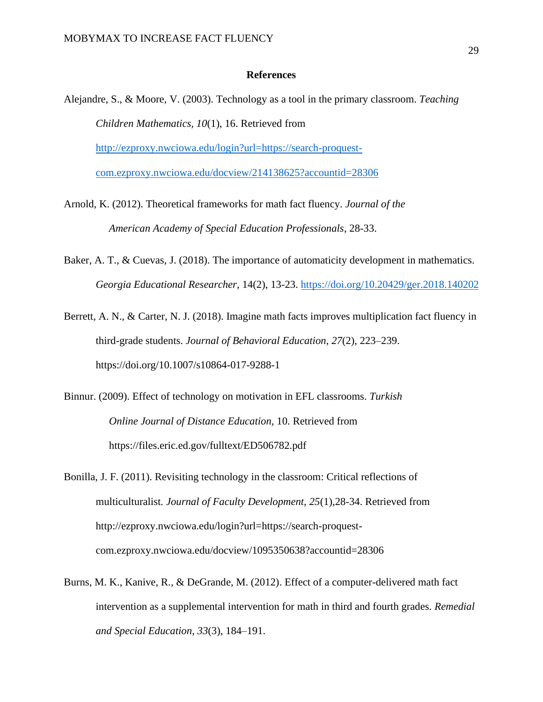#### **References**

- Alejandre, S., & Moore, V. (2003). Technology as a tool in the primary classroom. *Teaching Children Mathematics, 10*(1), 16. Retrieved from [http://ezproxy.nwciowa.edu/login?url=https://search-proquest](http://ezproxy.nwciowa.edu/login?url=https://search-proquest-com.ezproxy.nwciowa.edu/docview/214138625?accountid=28306)[com.ezproxy.nwciowa.edu/docview/214138625?accountid=28306](http://ezproxy.nwciowa.edu/login?url=https://search-proquest-com.ezproxy.nwciowa.edu/docview/214138625?accountid=28306)
- Arnold, K. (2012). Theoretical frameworks for math fact fluency. *Journal of the American Academy of Special Education Professionals*, 28-33.
- Baker, A. T., & Cuevas, J. (2018). The importance of automaticity development in mathematics. *Georgia Educational Researcher*, 14(2), 13-23.<https://doi.org/10.20429/ger.2018.140202>
- Berrett, A. N., & Carter, N. J. (2018). Imagine math facts improves multiplication fact fluency in third-grade students. *Journal of Behavioral Education*, *27*(2), 223–239. https://doi.org/10.1007/s10864-017-9288-1
- Binnur. (2009). Effect of technology on motivation in EFL classrooms. *Turkish Online Journal of Distance Education,* 10. Retrieved from https://files.eric.ed.gov/fulltext/ED506782.pdf
- Bonilla, J. F. (2011). Revisiting technology in the classroom: Critical reflections of multiculturalist*. Journal of Faculty Development, 25*(1),28-34. Retrieved from http://ezproxy.nwciowa.edu/login?url=https://search-proquestcom.ezproxy.nwciowa.edu/docview/1095350638?accountid=28306
- Burns, M. K., Kanive, R., & DeGrande, M. (2012). Effect of a computer-delivered math fact intervention as a supplemental intervention for math in third and fourth grades. *Remedial and Special Education*, *33*(3), 184–191.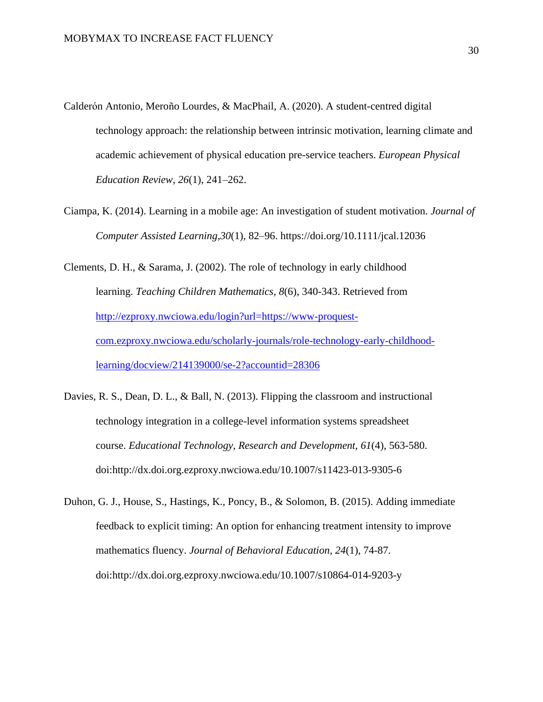- Calderón Antonio, Meroño Lourdes, & MacPhail, A. (2020). A student-centred digital technology approach: the relationship between intrinsic motivation, learning climate and academic achievement of physical education pre-service teachers. *European Physical Education Review*, *26*(1), 241–262.
- Ciampa, K. (2014). Learning in a mobile age: An investigation of student motivation. *Journal of Computer Assisted Learning*,*30*(1), 82–96. https://doi.org/10.1111/jcal.12036
- Clements, D. H., & Sarama, J. (2002). The role of technology in early childhood learning. *Teaching Children Mathematics, 8*(6), 340-343. Retrieved from [http://ezproxy.nwciowa.edu/login?url=https://www-proquest](http://ezproxy.nwciowa.edu/login?url=https://www-proquest-com.ezproxy.nwciowa.edu/scholarly-journals/role-technology-early-childhood-learning/docview/214139000/se-2?accountid=28306)[com.ezproxy.nwciowa.edu/scholarly-journals/role-technology-early-childhood](http://ezproxy.nwciowa.edu/login?url=https://www-proquest-com.ezproxy.nwciowa.edu/scholarly-journals/role-technology-early-childhood-learning/docview/214139000/se-2?accountid=28306)[learning/docview/214139000/se-2?accountid=28306](http://ezproxy.nwciowa.edu/login?url=https://www-proquest-com.ezproxy.nwciowa.edu/scholarly-journals/role-technology-early-childhood-learning/docview/214139000/se-2?accountid=28306)
- Davies, R. S., Dean, D. L., & Ball, N. (2013). Flipping the classroom and instructional technology integration in a college-level information systems spreadsheet course. *Educational Technology, Research and Development, 61*(4), 563-580. doi:http://dx.doi.org.ezproxy.nwciowa.edu/10.1007/s11423-013-9305-6
- Duhon, G. J., House, S., Hastings, K., Poncy, B., & Solomon, B. (2015). Adding immediate feedback to explicit timing: An option for enhancing treatment intensity to improve mathematics fluency. *Journal of Behavioral Education, 24*(1), 74-87. doi:http://dx.doi.org.ezproxy.nwciowa.edu/10.1007/s10864-014-9203-y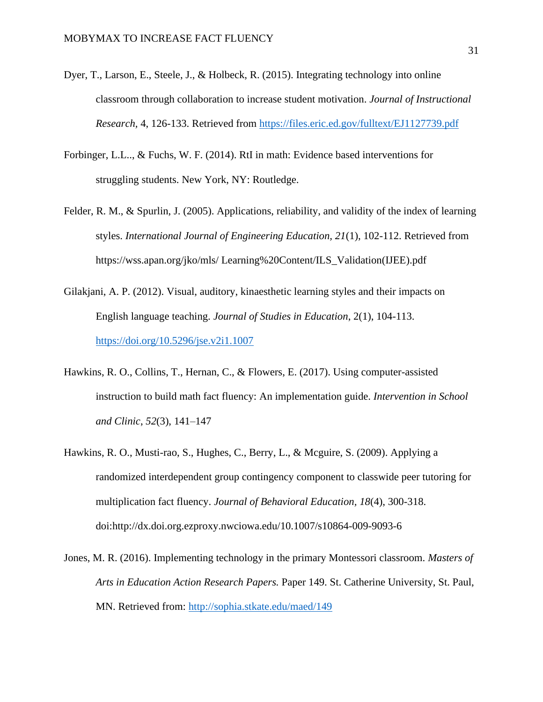- Dyer, T., Larson, E., Steele, J., & Holbeck, R. (2015). Integrating technology into online classroom through collaboration to increase student motivation. *Journal of Instructional Research,* 4, 126-133. Retrieved from<https://files.eric.ed.gov/fulltext/EJ1127739.pdf>
- Forbinger, L.L.., & Fuchs, W. F. (2014). RtI in math: Evidence based interventions for struggling students. New York, NY: Routledge.
- Felder, R. M., & Spurlin, J. (2005). Applications, reliability, and validity of the index of learning styles. *International Journal of Engineering Education, 21*(1), 102-112. Retrieved from https://wss.apan.org/jko/mls/ Learning%20Content/ILS\_Validation(IJEE).pdf
- Gilakjani, A. P. (2012). Visual, auditory, kinaesthetic learning styles and their impacts on English language teaching. *Journal of Studies in Education*, 2(1), 104-113. <https://doi.org/10.5296/jse.v2i1.1007>
- Hawkins, R. O., Collins, T., Hernan, C., & Flowers, E. (2017). Using computer-assisted instruction to build math fact fluency: An implementation guide. *Intervention in School and Clinic*, *52*(3), 141–147
- Hawkins, R. O., Musti-rao, S., Hughes, C., Berry, L., & Mcguire, S. (2009). Applying a randomized interdependent group contingency component to classwide peer tutoring for multiplication fact fluency. *Journal of Behavioral Education, 18*(4), 300-318. doi:http://dx.doi.org.ezproxy.nwciowa.edu/10.1007/s10864-009-9093-6
- Jones, M. R. (2016). Implementing technology in the primary Montessori classroom. *Masters of Arts in Education Action Research Papers.* Paper 149. St. Catherine University, St. Paul, MN. Retrieved from:<http://sophia.stkate.edu/maed/149>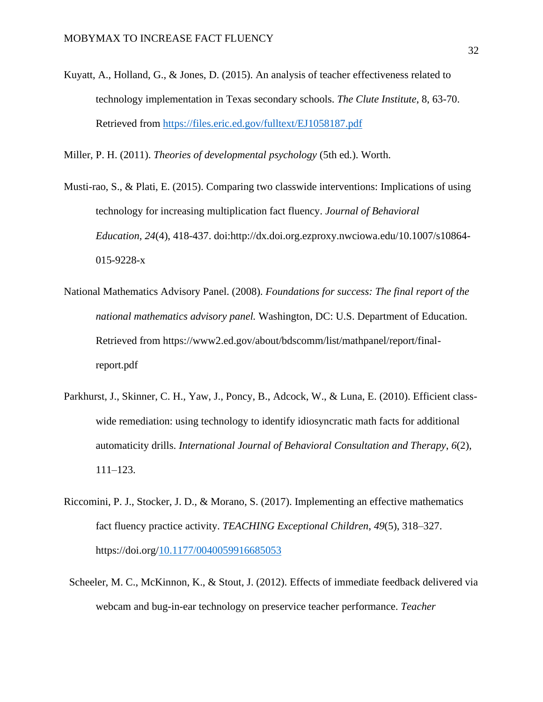Kuyatt, A., Holland, G., & Jones, D. (2015). An analysis of teacher effectiveness related to technology implementation in Texas secondary schools. *The Clute Institute*, 8, 63-70. Retrieved from <https://files.eric.ed.gov/fulltext/EJ1058187.pdf>

Miller, P. H. (2011). *Theories of developmental psychology* (5th ed.). Worth.

- Musti-rao, S., & Plati, E. (2015). Comparing two classwide interventions: Implications of using technology for increasing multiplication fact fluency. *Journal of Behavioral Education, 24*(4), 418-437. doi:http://dx.doi.org.ezproxy.nwciowa.edu/10.1007/s10864- 015-9228-x
- National Mathematics Advisory Panel. (2008). *Foundations for success: The final report of the national mathematics advisory panel.* Washington, DC: U.S. Department of Education. Retrieved from https://www2.ed.gov/about/bdscomm/list/mathpanel/report/finalreport.pdf
- Parkhurst, J., Skinner, C. H., Yaw, J., Poncy, B., Adcock, W., & Luna, E. (2010). Efficient classwide remediation: using technology to identify idiosyncratic math facts for additional automaticity drills. *International Journal of Behavioral Consultation and Therapy*, *6*(2), 111–123.
- Riccomini, P. J., Stocker, J. D., & Morano, S. (2017). Implementing an effective mathematics fact fluency practice activity. *TEACHING Exceptional Children*, *49*(5), 318–327. https://doi.org[/10.1177/0040059916685053](https://doi-org.ezproxy.nwciowa.edu/10.1177/0040059916685053)
- Scheeler, M. C., McKinnon, K., & Stout, J. (2012). Effects of immediate feedback delivered via webcam and bug-in-ear technology on preservice teacher performance. *Teacher*